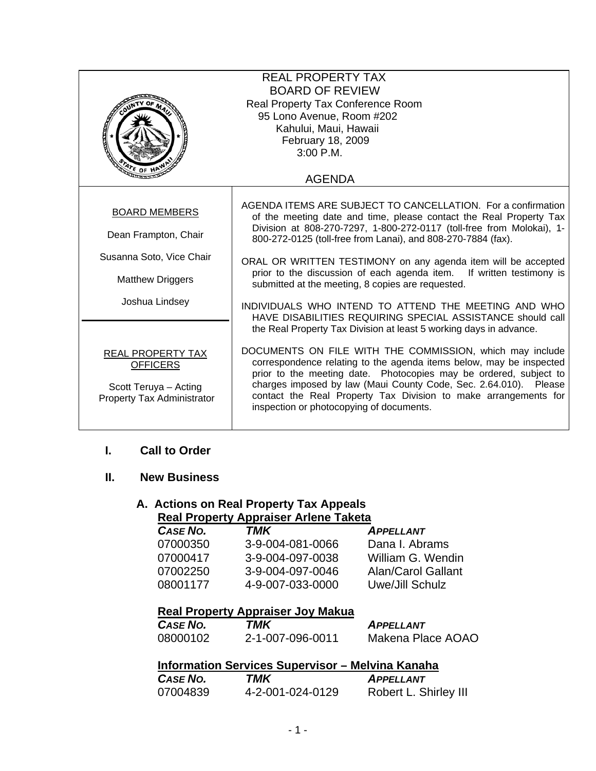| <b>REAL PROPERTY TAX</b><br><b>BOARD OF REVIEW</b><br>Real Property Tax Conference Room<br>95 Lono Avenue, Room #202<br>Kahului, Maui, Hawaii<br>February 18, 2009<br>3:00 P.M. |                                                                                                                                                                                                                                                                                                                                                                                                                                                                                                                                                                                                 |  |
|---------------------------------------------------------------------------------------------------------------------------------------------------------------------------------|-------------------------------------------------------------------------------------------------------------------------------------------------------------------------------------------------------------------------------------------------------------------------------------------------------------------------------------------------------------------------------------------------------------------------------------------------------------------------------------------------------------------------------------------------------------------------------------------------|--|
|                                                                                                                                                                                 | <b>AGENDA</b>                                                                                                                                                                                                                                                                                                                                                                                                                                                                                                                                                                                   |  |
| <b>BOARD MEMBERS</b><br>Dean Frampton, Chair<br>Susanna Soto, Vice Chair<br><b>Matthew Driggers</b><br>Joshua Lindsey                                                           | AGENDA ITEMS ARE SUBJECT TO CANCELLATION. For a confirmation<br>of the meeting date and time, please contact the Real Property Tax<br>Division at 808-270-7297, 1-800-272-0117 (toll-free from Molokai), 1-<br>800-272-0125 (toll-free from Lanai), and 808-270-7884 (fax).<br>ORAL OR WRITTEN TESTIMONY on any agenda item will be accepted<br>prior to the discussion of each agenda item. If written testimony is<br>submitted at the meeting, 8 copies are requested.<br>INDIVIDUALS WHO INTEND TO ATTEND THE MEETING AND WHO<br>HAVE DISABILITIES REQUIRING SPECIAL ASSISTANCE should call |  |
| <b>REAL PROPERTY TAX</b><br><b>OFFICERS</b><br>Scott Teruya - Acting<br><b>Property Tax Administrator</b>                                                                       | the Real Property Tax Division at least 5 working days in advance.<br>DOCUMENTS ON FILE WITH THE COMMISSION, which may include<br>correspondence relating to the agenda items below, may be inspected<br>prior to the meeting date. Photocopies may be ordered, subject to<br>charges imposed by law (Maui County Code, Sec. 2.64.010). Please<br>contact the Real Property Tax Division to make arrangements for<br>inspection or photocopying of documents.                                                                                                                                   |  |

#### **I. Call to Order**

#### **II. New Business**

#### **A. Actions on Real Property Tax Appeals Real Property Appraiser Arlene Taketa**

| CASE NO. | TMK              | <b>APPELLANT</b>   |
|----------|------------------|--------------------|
| 07000350 | 3-9-004-081-0066 | Dana I. Abrams     |
| 07000417 | 3-9-004-097-0038 | William G. Wendin  |
| 07002250 | 3-9-004-097-0046 | Alan/Carol Gallant |
| 08001177 | 4-9-007-033-0000 | Uwe/Jill Schulz    |
|          |                  |                    |

#### **Real Property Appraiser Joy Makua**

| <b>CASE NO.</b> | TMK              | <b>APPELLANT</b>  |
|-----------------|------------------|-------------------|
| 08000102        | 2-1-007-096-0011 | Makena Place AOAO |

#### **Information Services Supervisor – Melvina Kanaha**

| CASE NO. | TMK              | <b>APPELLANT</b>      |
|----------|------------------|-----------------------|
| 07004839 | 4-2-001-024-0129 | Robert L. Shirley III |